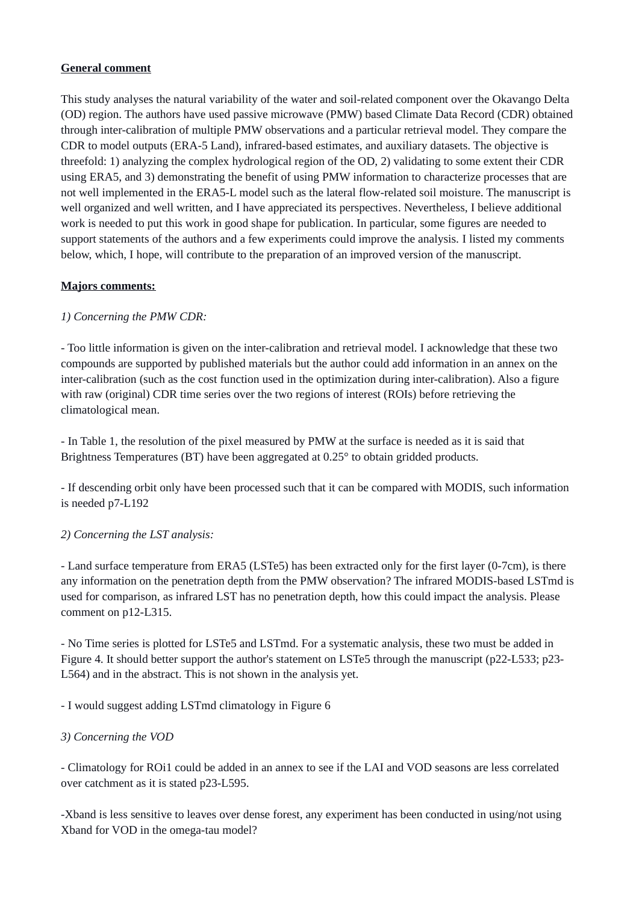# **General comment**

This study analyses the natural variability of the water and soil-related component over the Okavango Delta (OD) region. The authors have used passive microwave (PMW) based Climate Data Record (CDR) obtained through inter-calibration of multiple PMW observations and a particular retrieval model. They compare the CDR to model outputs (ERA-5 Land), infrared-based estimates, and auxiliary datasets. The objective is threefold: 1) analyzing the complex hydrological region of the OD, 2) validating to some extent their CDR using ERA5, and 3) demonstrating the benefit of using PMW information to characterize processes that are not well implemented in the ERA5-L model such as the lateral flow-related soil moisture. The manuscript is well organized and well written, and I have appreciated its perspectives. Nevertheless, I believe additional work is needed to put this work in good shape for publication. In particular, some figures are needed to support statements of the authors and a few experiments could improve the analysis. I listed my comments below, which, I hope, will contribute to the preparation of an improved version of the manuscript.

# **Majors comments:**

# *1) Concerning the PMW CDR:*

- Too little information is given on the inter-calibration and retrieval model. I acknowledge that these two compounds are supported by published materials but the author could add information in an annex on the inter-calibration (such as the cost function used in the optimization during inter-calibration). Also a figure with raw (original) CDR time series over the two regions of interest (ROIs) before retrieving the climatological mean.

- In Table 1, the resolution of the pixel measured by PMW at the surface is needed as it is said that Brightness Temperatures (BT) have been aggregated at 0.25° to obtain gridded products.

- If descending orbit only have been processed such that it can be compared with MODIS, such information is needed p7-L192

## *2) Concerning the LST analysis:*

- Land surface temperature from ERA5 (LSTe5) has been extracted only for the first layer (0-7cm), is there any information on the penetration depth from the PMW observation? The infrared MODIS-based LSTmd is used for comparison, as infrared LST has no penetration depth, how this could impact the analysis. Please comment on p12-L315.

- No Time series is plotted for LSTe5 and LSTmd. For a systematic analysis, these two must be added in Figure 4. It should better support the author's statement on LSTe5 through the manuscript (p22-L533; p23- L564) and in the abstract. This is not shown in the analysis yet.

- I would suggest adding LSTmd climatology in Figure 6

## *3) Concerning the VOD*

- Climatology for ROi1 could be added in an annex to see if the LAI and VOD seasons are less correlated over catchment as it is stated p23-L595.

-Xband is less sensitive to leaves over dense forest, any experiment has been conducted in using/not using Xband for VOD in the omega-tau model?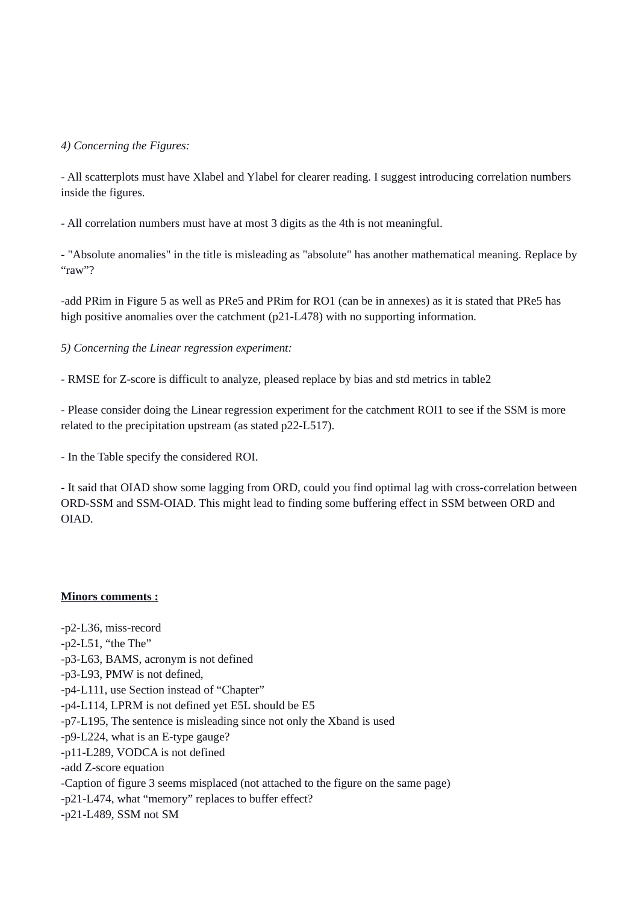#### *4) Concerning the Figures:*

- All scatterplots must have Xlabel and Ylabel for clearer reading. I suggest introducing correlation numbers inside the figures.

- All correlation numbers must have at most 3 digits as the 4th is not meaningful.

- "Absolute anomalies" in the title is misleading as "absolute" has another mathematical meaning. Replace by "raw"?

-add PRim in Figure 5 as well as PRe5 and PRim for RO1 (can be in annexes) as it is stated that PRe5 has high positive anomalies over the catchment (p21-L478) with no supporting information.

*5) Concerning the Linear regression experiment:*

- RMSE for Z-score is difficult to analyze, pleased replace by bias and std metrics in table2

- Please consider doing the Linear regression experiment for the catchment ROI1 to see if the SSM is more related to the precipitation upstream (as stated p22-L517).

- In the Table specify the considered ROI.

- It said that OIAD show some lagging from ORD, could you find optimal lag with cross-correlation between ORD-SSM and SSM-OIAD. This might lead to finding some buffering effect in SSM between ORD and OIAD.

#### **Minors comments :**

-p2-L36, miss-record -p2-L51, "the The" -p3-L63, BAMS, acronym is not defined -p3-L93, PMW is not defined, -p4-L111, use Section instead of "Chapter" -p4-L114, LPRM is not defined yet E5L should be E5 -p7-L195, The sentence is misleading since not only the Xband is used -p9-L224, what is an E-type gauge? -p11-L289, VODCA is not defined -add Z-score equation -Caption of figure 3 seems misplaced (not attached to the figure on the same page) -p21-L474, what "memory" replaces to buffer effect? -p21-L489, SSM not SM